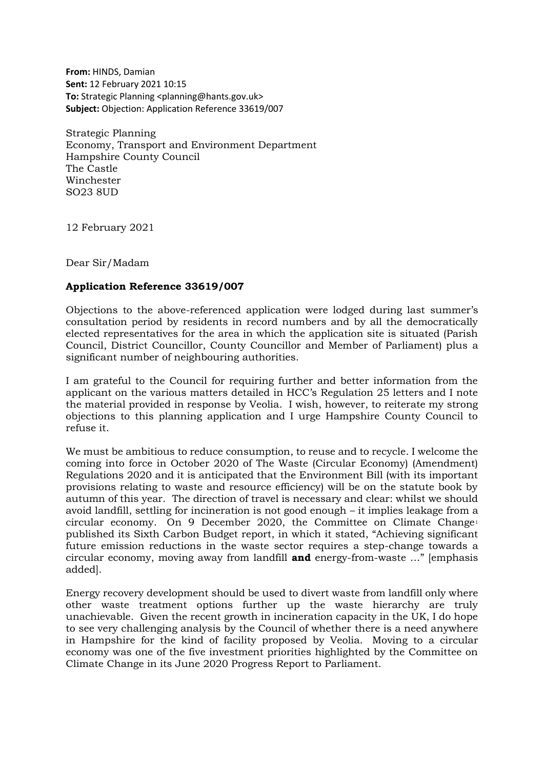**From:** HINDS, Damian **Sent:** 12 February 2021 10:15 **To:** Strategic Planning <planning@hants.gov.uk> **Subject:** Objection: Application Reference 33619/007

Strategic Planning Economy, Transport and Environment Department Hampshire County Council The Castle Winchester SO23 8UD

12 February 2021

Dear Sir/Madam

## **Application Reference 33619/007**

Objections to the above-referenced application were lodged during last summer's consultation period by residents in record numbers and by all the democratically elected representatives for the area in which the application site is situated (Parish Council, District Councillor, County Councillor and Member of Parliament) plus a significant number of neighbouring authorities.

I am grateful to the Council for requiring further and better information from the applicant on the various matters detailed in HCC's Regulation 25 letters and I note the material provided in response by Veolia. I wish, however, to reiterate my strong objections to this planning application and I urge Hampshire County Council to refuse it.

We must be ambitious to reduce consumption, to reuse and to recycle. I welcome the coming into force in October 2020 of The Waste (Circular Economy) (Amendment) Regulations 2020 and it is anticipated that the Environment Bill (with its important provisions relating to waste and resource efficiency) will be on the statute book by autumn of this year. The direction of travel is necessary and clear: whilst we should avoid landfill, settling for incineration is not good enough – it implies leakage from a circular economy. On 9 December 2020, the Committee on Climate Change<sup>1</sup> published its Sixth Carbon Budget report, in which it stated, "Achieving significant future emission reductions in the waste sector requires a step-change towards a circular economy, moving away from landfill **and** energy-from-waste …" [emphasis added].

Energy recovery development should be used to divert waste from landfill only where other waste treatment options further up the waste hierarchy are truly unachievable. Given the recent growth in incineration capacity in the UK, I do hope to see very challenging analysis by the Council of whether there is a need anywhere in Hampshire for the kind of facility proposed by Veolia. Moving to a circular economy was one of the five investment priorities highlighted by the Committee on Climate Change in its June 2020 Progress Report to Parliament.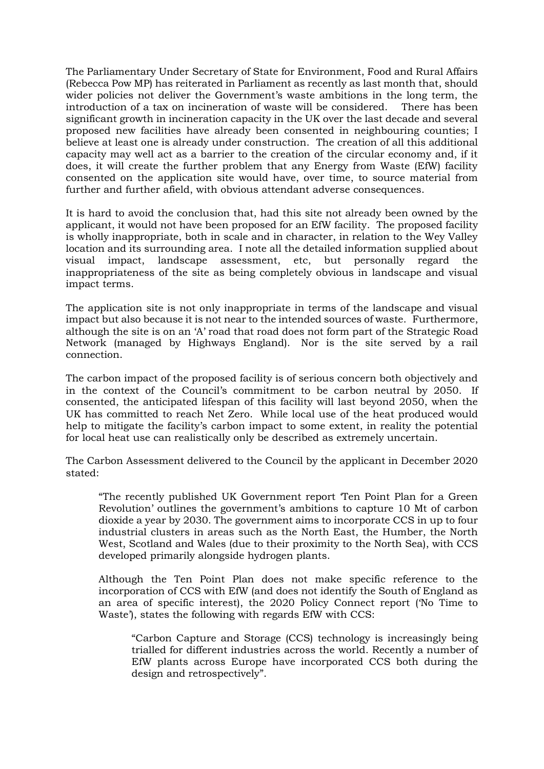The Parliamentary Under Secretary of State for Environment, Food and Rural Affairs (Rebecca Pow MP) has reiterated in Parliament as recently as last month that, should wider policies not deliver the Government's waste ambitions in the long term, the introduction of a tax on incineration of waste will be considered. There has been significant growth in incineration capacity in the UK over the last decade and several proposed new facilities have already been consented in neighbouring counties; I believe at least one is already under construction. The creation of all this additional capacity may well act as a barrier to the creation of the circular economy and, if it does, it will create the further problem that any Energy from Waste (EfW) facility consented on the application site would have, over time, to source material from further and further afield, with obvious attendant adverse consequences.

It is hard to avoid the conclusion that, had this site not already been owned by the applicant, it would not have been proposed for an EfW facility. The proposed facility is wholly inappropriate, both in scale and in character, in relation to the Wey Valley location and its surrounding area. I note all the detailed information supplied about visual impact, landscape assessment, etc, but personally regard the inappropriateness of the site as being completely obvious in landscape and visual impact terms.

The application site is not only inappropriate in terms of the landscape and visual impact but also because it is not near to the intended sources of waste. Furthermore, although the site is on an 'A' road that road does not form part of the Strategic Road Network (managed by Highways England). Nor is the site served by a rail connection.

The carbon impact of the proposed facility is of serious concern both objectively and in the context of the Council's commitment to be carbon neutral by 2050. If consented, the anticipated lifespan of this facility will last beyond 2050, when the UK has committed to reach Net Zero. While local use of the heat produced would help to mitigate the facility's carbon impact to some extent, in reality the potential for local heat use can realistically only be described as extremely uncertain.

The Carbon Assessment delivered to the Council by the applicant in December 2020 stated:

"The recently published UK Government report 'Ten Point Plan for a Green Revolution' outlines the government's ambitions to capture 10 Mt of carbon dioxide a year by 2030. The government aims to incorporate CCS in up to four industrial clusters in areas such as the North East, the Humber, the North West, Scotland and Wales (due to their proximity to the North Sea), with CCS developed primarily alongside hydrogen plants.

Although the Ten Point Plan does not make specific reference to the incorporation of CCS with EfW (and does not identify the South of England as an area of specific interest), the 2020 Policy Connect report ('No Time to Waste'), states the following with regards EfW with CCS:

"Carbon Capture and Storage (CCS) technology is increasingly being trialled for different industries across the world. Recently a number of EfW plants across Europe have incorporated CCS both during the design and retrospectively".